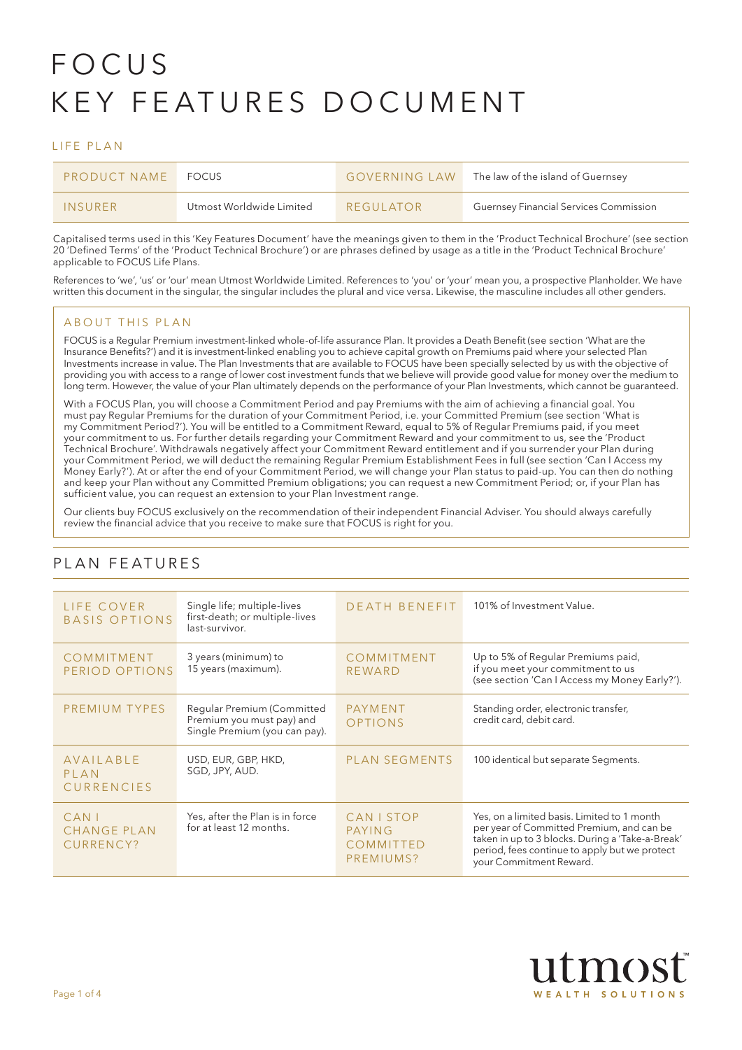# FOCUS KEY FEATURES DOCUMENT

#### LIFE PLAN

| <b>PRODUCT NAME</b> | <b>FOCUS</b>             | <b>GOVERNING LAW</b> | The law of the island of Guernsey      |  |  |
|---------------------|--------------------------|----------------------|----------------------------------------|--|--|
| INSURFR             | Utmost Worldwide Limited | REGUI ATOR           | Guernsey Financial Services Commission |  |  |

Capitalised terms used in this 'Key Features Document' have the meanings given to them in the 'Product Technical Brochure' (see section 20 'Defined Terms' of the 'Product Technical Brochure') or are phrases defined by usage as a title in the 'Product Technical Brochure' applicable to FOCUS Life Plans.

References to 'we', 'us' or 'our' mean Utmost Worldwide Limited. References to 'you' or 'your' mean you, a prospective Planholder. We have written this document in the singular, the singular includes the plural and vice versa. Likewise, the masculine includes all other genders.

#### ABOUT THIS PLAN

FOCUS is a Regular Premium investment-linked whole-of-life assurance Plan. It provides a Death Benefit (see section 'What are the Insurance Benefits?') and it is investment-linked enabling you to achieve capital growth on Premiums paid where your selected Plan Investments increase in value. The Plan Investments that are available to FOCUS have been specially selected by us with the objective of providing you with access to a range of lower cost investment funds that we believe will provide good value for money over the medium to long term. However, the value of your Plan ultimately depends on the performance of your Plan Investments, which cannot be guaranteed.

With a FOCUS Plan, you will choose a Commitment Period and pay Premiums with the aim of achieving a financial goal. You must pay Regular Premiums for the duration of your Commitment Period, i.e. your Committed Premium (see section 'What is my Commitment Period?'). You will be entitled to a Commitment Reward, equal to 5% of Regular Premiums paid, if you meet your commitment to us. For further details regarding your Commitment Reward and your commitment to us, see the 'Product Technical Brochure'. Withdrawals negatively affect your Commitment Reward entitlement and if you surrender your Plan during your Commitment Period, we will deduct the remaining Regular Premium Establishment Fees in full (see section 'Can I Access my Money Early?'). At or after the end of your Commitment Period, we will change your Plan status to paid-up. You can then do nothing and keep your Plan without any Committed Premium obligations; you can request a new Commitment Period; or, if your Plan has sufficient value, you can request an extension to your Plan Investment range.

Our clients buy FOCUS exclusively on the recommendation of their independent Financial Adviser. You should always carefully review the financial advice that you receive to make sure that FOCUS is right for you.

| LIFE COVER<br>BASIS OPTIONS                | Single life; multiple-lives<br>first-death; or multiple-lives<br>last-survivor.          | DEATH BENEFIT                                         | 101% of Investment Value.                                                                                                                                                                                                |
|--------------------------------------------|------------------------------------------------------------------------------------------|-------------------------------------------------------|--------------------------------------------------------------------------------------------------------------------------------------------------------------------------------------------------------------------------|
| <b>COMMITMENT</b><br>PERIOD OPTIONS        | 3 years (minimum) to<br>15 years (maximum).                                              | COMMITMENT<br>REWARD                                  | Up to 5% of Regular Premiums paid,<br>if you meet your commitment to us<br>(see section 'Can I Access my Money Early?').                                                                                                 |
| PREMIUM TYPES                              | Regular Premium (Committed<br>Premium you must pay) and<br>Single Premium (you can pay). | PAYMENT<br><b>OPTIONS</b>                             | Standing order, electronic transfer,<br>credit card, debit card.                                                                                                                                                         |
| AVAILABLE<br>PLAN<br><b>CURRENCIES</b>     | USD, EUR, GBP, HKD,<br>SGD, JPY, AUD.                                                    | <b>PLAN SEGMENTS</b>                                  | 100 identical but separate Segments.                                                                                                                                                                                     |
| $CAN$ I<br><b>CHANGE PLAN</b><br>CURRENCY? | Yes, after the Plan is in force<br>for at least 12 months.                               | <b>CAN I STOP</b><br>PAYING<br>COMMITTED<br>PREMIUMS? | Yes, on a limited basis. Limited to 1 month<br>per year of Committed Premium, and can be<br>taken in up to 3 blocks. During a 'Take-a-Break'<br>period, fees continue to apply but we protect<br>your Commitment Reward. |

# PLAN FEATURES

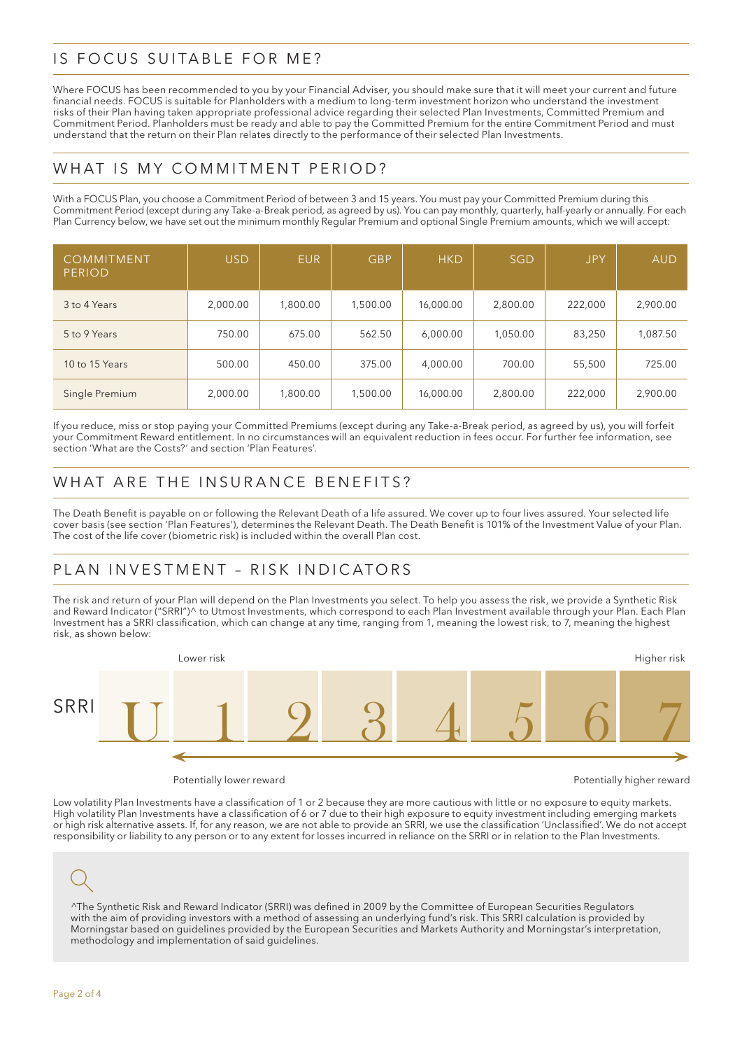#### IS FOCUS SUITABLE FOR ME?

Where FOCUS has been recommended to you by your Financial Adviser, you should make sure that it will meet your current and future financial needs. FOCUS is suitable for Planholders with a medium to long-term investment horizon who understand the investment risks of their Plan having taken appropriate professional advice regarding their selected Plan Investments, Committed Premium and Commitment Period. Planholders must be ready and able to pay the Committed Premium for the entire Commitment Period and must understand that the return on their Plan relates directly to the performance of their selected Plan Investments.

### WHAT IS MY COMMITMENT PERIOD?

With a FOCUS Plan, you choose a Commitment Period of between 3 and 15 years. You must pay your Committed Premium during this Commitment Period (except during any Take-a-Break period, as agreed by us). You can pay monthly, quarterly, half-yearly or annually. For each Plan Currency below, we have set out the minimum monthly Regular Premium and optional Single Premium amounts, which we will accept:

| COMMITMENT<br><b>PERIOD</b> | <b>USD</b> | <b>EUR</b> | <b>GBP</b> | <b>HKD</b> | <b>SGD</b> | <b>JPY</b> | <b>AUD</b> |
|-----------------------------|------------|------------|------------|------------|------------|------------|------------|
| 3 to 4 Years                | 2,000.00   | 1,800.00   | 1,500.00   | 16,000.00  | 2,800.00   | 222,000    | 2,900.00   |
| 5 to 9 Years                | 750.00     | 675.00     | 562.50     | 6,000.00   | 1,050.00   | 83,250     | 1,087.50   |
| 10 to 15 Years              | 500.00     | 450.00     | 375.00     | 4,000.00   | 700.00     | 55,500     | 725.00     |
| Single Premium              | 2,000.00   | 1,800.00   | 1,500.00   | 16,000.00  | 2,800.00   | 222,000    | 2,900.00   |

If you reduce, miss or stop paying your Committed Premiums (except during any Take-a-Break period, as agreed by us), you will forfeit your Commitment Reward entitlement. In no circumstances will an equivalent reduction in fees occur. For further fee information, see section 'What are the Costs?' and section 'Plan Features'.

# WHAT ARE THE INSURANCE BENEFITS?

The Death Benefit is payable on or following the Relevant Death of a life assured. We cover up to four lives assured. Your selected life cover basis (see section 'Plan Features'), determines the Relevant Death. The Death Benefit is 101% of the Investment Value of your Plan. The cost of the life cover (biometric risk) is included within the overall Plan cost.

# PLAN INVESTMENT – RISK INDICATORS

The risk and return of your Plan will depend on the Plan Investments you select. To help you assess the risk, we provide a Synthetic Risk and Reward Indicator ("SRRI")^ to Utmost Investments, which correspond to each Plan Investment available through your Plan. Each Plan Investment has a SRRI classification, which can change at any time, ranging from 1, meaning the lowest risk, to 7, meaning the highest risk, as shown below:



Potentially lower reward **Potentially lower reward** Potentially higher reward

Low volatility Plan Investments have a classification of 1 or 2 because they are more cautious with little or no exposure to equity markets. High volatility Plan Investments have a classification of 6 or 7 due to their high exposure to equity investment including emerging markets or high risk alternative assets. If, for any reason, we are not able to provide an SRRI, we use the classification 'Unclassified'. We do not accept responsibility or liability to any person or to any extent for losses incurred in reliance on the SRRI or in relation to the Plan Investments.

^The Synthetic Risk and Reward Indicator (SRRI) was defined in 2009 by the Committee of European Securities Regulators with the aim of providing investors with a method of assessing an underlying fund's risk. This SRRI calculation is provided by Morningstar based on guidelines provided by the European Securities and Markets Authority and Morningstar's interpretation, methodology and implementation of said guidelines.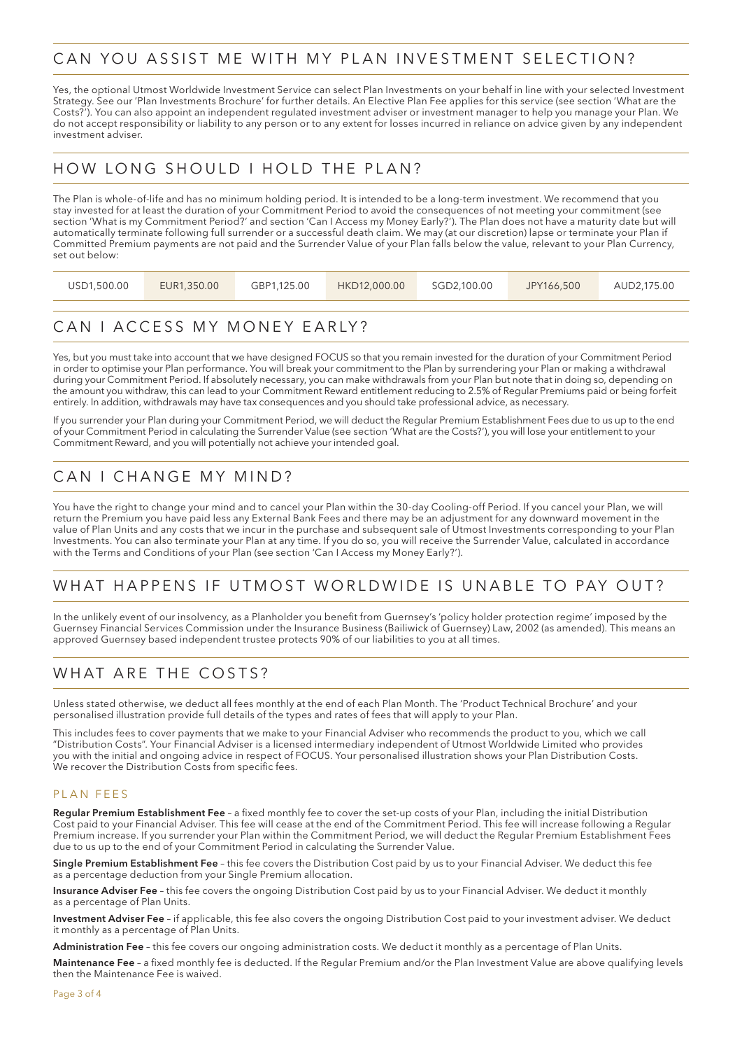#### CAN YOU ASSIST ME WITH MY PLAN INVESTMENT SELECTION?

Yes, the optional Utmost Worldwide Investment Service can select Plan Investments on your behalf in line with your selected Investment Strategy. See our 'Plan Investments Brochure' for further details. An Elective Plan Fee applies for this service (see section 'What are the Costs?'). You can also appoint an independent regulated investment adviser or investment manager to help you manage your Plan. We do not accept responsibility or liability to any person or to any extent for losses incurred in reliance on advice given by any independent investment adviser.

#### HOW LONG SHOULD I HOLD THE PLAN?

The Plan is whole-of-life and has no minimum holding period. It is intended to be a long-term investment. We recommend that you stay invested for at least the duration of your Commitment Period to avoid the consequences of not meeting your commitment (see section 'What is my Commitment Period?' and section 'Can I Access my Money Early?'). The Plan does not have a maturity date but will automatically terminate following full surrender or a successful death claim. We may (at our discretion) lapse or terminate your Plan if Committed Premium payments are not paid and the Surrender Value of your Plan falls below the value, relevant to your Plan Currency, set out below:

| USD1,500.00 | EUR1,350.00 | GBP1.125.00 | HKD12,000.00 | SGD2.100.00 | JPY166.500 | AUD2.175.00 |
|-------------|-------------|-------------|--------------|-------------|------------|-------------|
|             |             |             |              |             |            |             |

# CAN I ACCESS MY MONEY EARLY?

Yes, but you must take into account that we have designed FOCUS so that you remain invested for the duration of your Commitment Period in order to optimise your Plan performance. You will break your commitment to the Plan by surrendering your Plan or making a withdrawal during your Commitment Period. If absolutely necessary, you can make withdrawals from your Plan but note that in doing so, depending on the amount you withdraw, this can lead to your Commitment Reward entitlement reducing to 2.5% of Regular Premiums paid or being forfeit entirely. In addition, withdrawals may have tax consequences and you should take professional advice, as necessary.

If you surrender your Plan during your Commitment Period, we will deduct the Regular Premium Establishment Fees due to us up to the end of your Commitment Period in calculating the Surrender Value (see section 'What are the Costs?'), you will lose your entitlement to your Commitment Reward, and you will potentially not achieve your intended goal.

### CAN I CHANGE MY MIND?

You have the right to change your mind and to cancel your Plan within the 30-day Cooling-off Period. If you cancel your Plan, we will return the Premium you have paid less any External Bank Fees and there may be an adjustment for any downward movement in the value of Plan Units and any costs that we incur in the purchase and subsequent sale of Utmost Investments corresponding to your Plan Investments. You can also terminate your Plan at any time. If you do so, you will receive the Surrender Value, calculated in accordance with the Terms and Conditions of your Plan (see section 'Can I Access my Money Early?').

# WHAT HAPPENS IF UTMOST WORLDWIDE IS UNABLE TO PAY OUT?

In the unlikely event of our insolvency, as a Planholder you benefit from Guernsey's 'policy holder protection regime' imposed by the Guernsey Financial Services Commission under the Insurance Business (Bailiwick of Guernsey) Law, 2002 (as amended). This means an approved Guernsey based independent trustee protects 90% of our liabilities to you at all times.

#### WHAT ARE THE COSTS?

Unless stated otherwise, we deduct all fees monthly at the end of each Plan Month. The 'Product Technical Brochure' and your personalised illustration provide full details of the types and rates of fees that will apply to your Plan.

This includes fees to cover payments that we make to your Financial Adviser who recommends the product to you, which we call "Distribution Costs". Your Financial Adviser is a licensed intermediary independent of Utmost Worldwide Limited who provides you with the initial and ongoing advice in respect of FOCUS. Your personalised illustration shows your Plan Distribution Costs. We recover the Distribution Costs from specific fees.

#### PLAN FEES

Regular Premium Establishment Fee - a fixed monthly fee to cover the set-up costs of your Plan, including the initial Distribution Cost paid to your Financial Adviser. This fee will cease at the end of the Commitment Period. This fee will increase following a Regular Premium increase. If you surrender your Plan within the Commitment Period, we will deduct the Regular Premium Establishment Fees due to us up to the end of your Commitment Period in calculating the Surrender Value.

Single Premium Establishment Fee – this fee covers the Distribution Cost paid by us to your Financial Adviser. We deduct this fee as a percentage deduction from your Single Premium allocation.

Insurance Adviser Fee - this fee covers the ongoing Distribution Cost paid by us to your Financial Adviser. We deduct it monthly as a percentage of Plan Units.

Investment Adviser Fee - if applicable, this fee also covers the ongoing Distribution Cost paid to your investment adviser. We deduct it monthly as a percentage of Plan Units.

Administration Fee - this fee covers our ongoing administration costs. We deduct it monthly as a percentage of Plan Units.

Maintenance Fee - a fixed monthly fee is deducted. If the Regular Premium and/or the Plan Investment Value are above qualifying levels then the Maintenance Fee is waived.